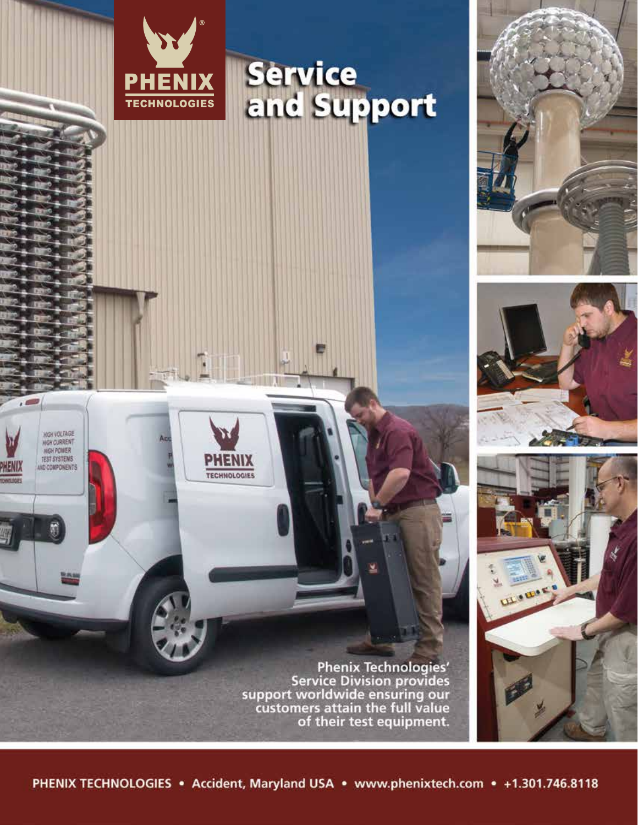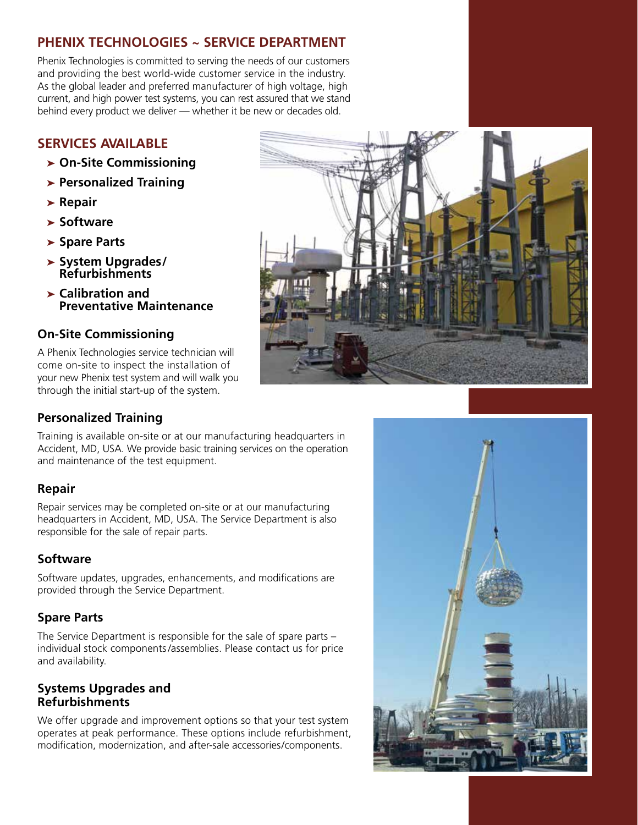# **PHENIX TECHNOLOGIES ~ SERVICE DEPARTMENT**

Phenix Technologies is committed to serving the needs of our customers and providing the best world-wide customer service in the industry. As the global leader and preferred manufacturer of high voltage, high current, and high power test systems, you can rest assured that we stand behind every product we deliver — whether it be new or decades old.

# **SERVICES AVAILABLE**

- ➤ **On-Site Commissioning**
- ➤ **Personalized Training**
- ➤ **Repair**
- ➤ **Software**
- ➤ **Spare Parts**
- ➤ **System Upgrades / Refurbishments**
- ➤ **Calibration and Preventative Maintenance**

### **On-Site Commissioning**

A Phenix Technologies service technician will come on-site to inspect the installation of your new Phenix test system and will walk you through the initial start-up of the system.



# **Personalized Training**

Training is available on-site or at our manufacturing headquarters in Accident, MD, USA. We provide basic training services on the operation and maintenance of the test equipment.

### **Repair**

Repair services may be completed on-site or at our manufacturing headquarters in Accident, MD, USA. The Service Department is also responsible for the sale of repair parts.

### **Software**

Software updates, upgrades, enhancements, and modifications are provided through the Service Department.

### **Spare Parts**

The Service Department is responsible for the sale of spare parts – individual stock components /assemblies. Please contact us for price and availability.

#### **Systems Upgrades and Refurbishments**

We offer upgrade and improvement options so that your test system operates at peak performance. These options include refurbishment, modification, modernization, and after-sale accessories/components.

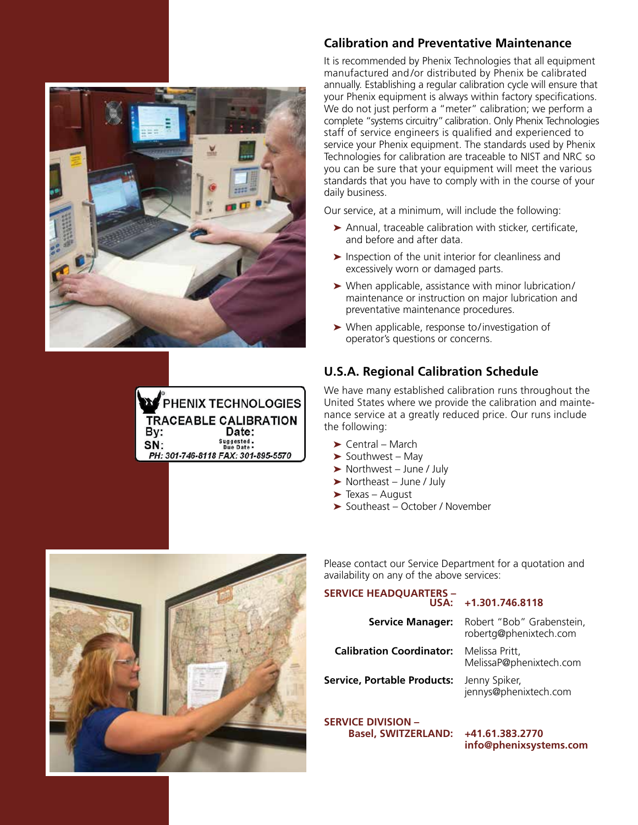



### **Calibration and Preventative Maintenance**

It is recommended by Phenix Technologies that all equipment manufactured and/or distributed by Phenix be calibrated annually. Establishing a regular calibration cycle will ensure that your Phenix equipment is always within factory specifications. We do not just perform a "meter" calibration; we perform a complete "systems circuitry" calibration. Only Phenix Technologies staff of service engineers is qualified and experienced to service your Phenix equipment. The standards used by Phenix Technologies for calibration are traceable to NIST and NRC so you can be sure that your equipment will meet the various standards that you have to comply with in the course of your daily business.

Our service, at a minimum, will include the following:

- ➤ Annual, traceable calibration with sticker, certificate, and before and after data.
- $\blacktriangleright$  Inspection of the unit interior for cleanliness and excessively worn or damaged parts.
- ➤ When applicable, assistance with minor lubrication / maintenance or instruction on major lubrication and preventative maintenance procedures.
- ➤ When applicable, response to / investigation of operator's questions or concerns.

### **U.S.A. Regional Calibration Schedule**

We have many established calibration runs throughout the United States where we provide the calibration and maintenance service at a greatly reduced price. Our runs include the following:

- $\blacktriangleright$  Central March
- $\blacktriangleright$  Southwest Mav
- ➤ Northwest June / July
- ➤ Northeast June / July
- $\blacktriangleright$  Texas August
- ➤ Southeast October / November



Please contact our Service Department for a quotation and availability on any of the above services:

# **SERVICE HEADQUARTERS –**

**Calibration Coordinator:** Melissa Pritt,

**Service, Portable Products:** Jenny Spiker,

**SERVICE DIVISION – Basel, SWITZERLAND: +41.61.383.2770** 

#### **USA: +1.301.746.8118**

**Service Manager:** Robert "Bob" Grabenstein, robertg@phenixtech.com

MelissaP@phenixtech.com

jennys@phenixtech.com

**info@phenixsystems.com**